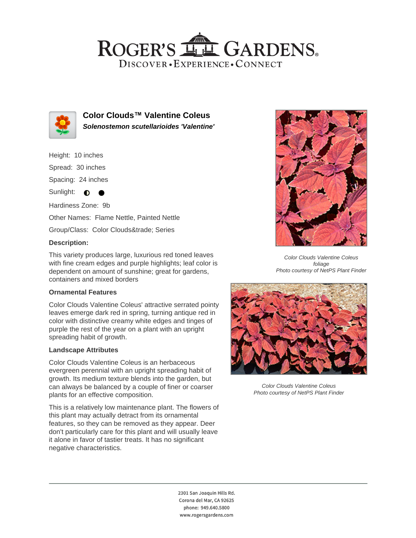## ROGER'S LL GARDENS. DISCOVER · EXPERIENCE · CONNECT



**Color Clouds™ Valentine Coleus Solenostemon scutellarioides 'Valentine'**

Height: 10 inches Spread: 30 inches Spacing: 24 inches

Sunlight:  $\bullet$  $\bullet$ 

Hardiness Zone: 9b

Other Names: Flame Nettle, Painted Nettle

Group/Class: Color Clouds™ Series

### **Description:**

This variety produces large, luxurious red toned leaves with fine cream edges and purple highlights; leaf color is dependent on amount of sunshine; great for gardens, containers and mixed borders

#### **Ornamental Features**

Color Clouds Valentine Coleus' attractive serrated pointy leaves emerge dark red in spring, turning antique red in color with distinctive creamy white edges and tinges of purple the rest of the year on a plant with an upright spreading habit of growth.

#### **Landscape Attributes**

Color Clouds Valentine Coleus is an herbaceous evergreen perennial with an upright spreading habit of growth. Its medium texture blends into the garden, but can always be balanced by a couple of finer or coarser plants for an effective composition.

This is a relatively low maintenance plant. The flowers of this plant may actually detract from its ornamental features, so they can be removed as they appear. Deer don't particularly care for this plant and will usually leave it alone in favor of tastier treats. It has no significant negative characteristics.



Color Clouds Valentine Coleus foliage Photo courtesy of NetPS Plant Finder



Color Clouds Valentine Coleus Photo courtesy of NetPS Plant Finder

2301 San Joaquin Hills Rd. Corona del Mar, CA 92625 phone: 949.640.5800 www.rogersgardens.com